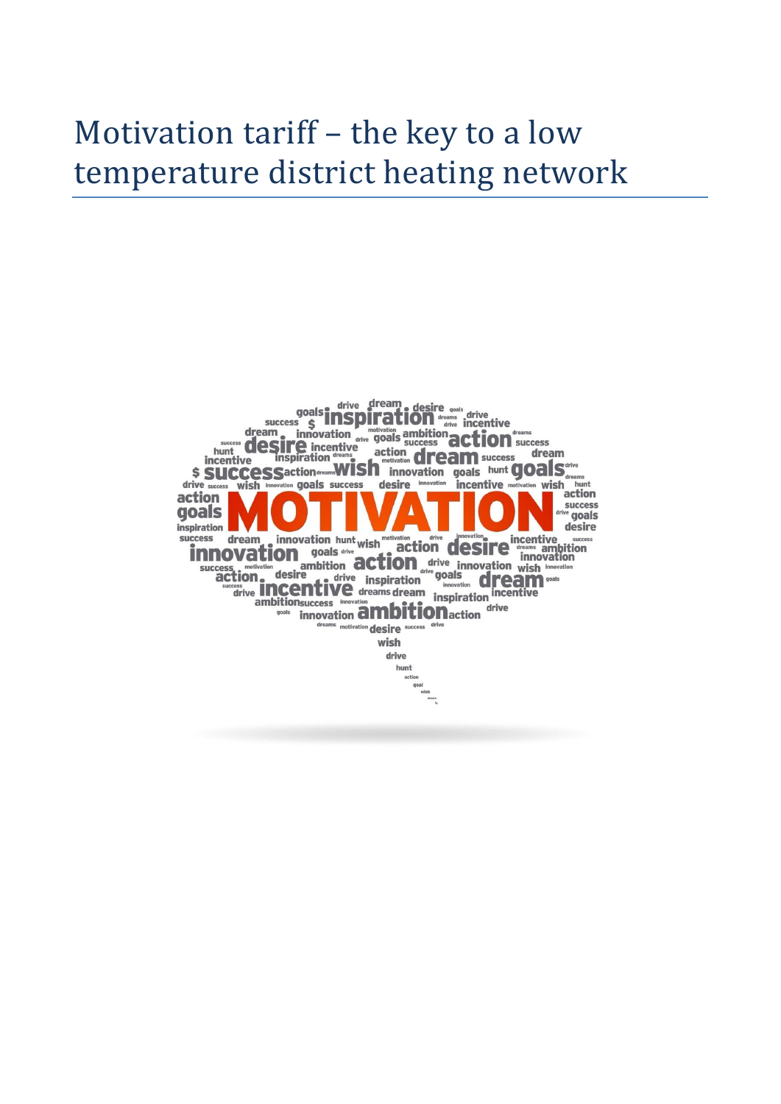# Motivation tariff – the key to a low temperature district heating network

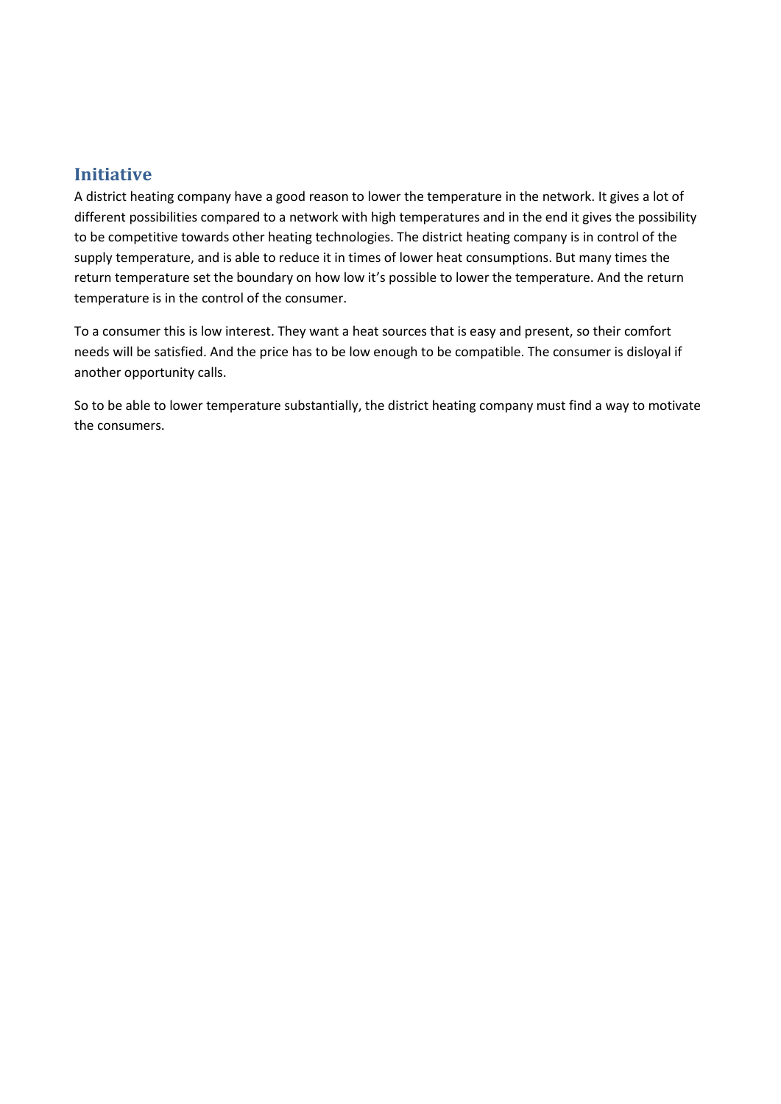# **Initiative**

A district heating company have a good reason to lower the temperature in the network. It gives a lot of different possibilities compared to a network with high temperatures and in the end it gives the possibility to be competitive towards other heating technologies. The district heating company is in control of the supply temperature, and is able to reduce it in times of lower heat consumptions. But many times the return temperature set the boundary on how low it's possible to lower the temperature. And the return temperature is in the control of the consumer.

To a consumer this is low interest. They want a heat sources that is easy and present, so their comfort needs will be satisfied. And the price has to be low enough to be compatible. The consumer is disloyal if another opportunity calls.

So to be able to lower temperature substantially, the district heating company must find a way to motivate the consumers.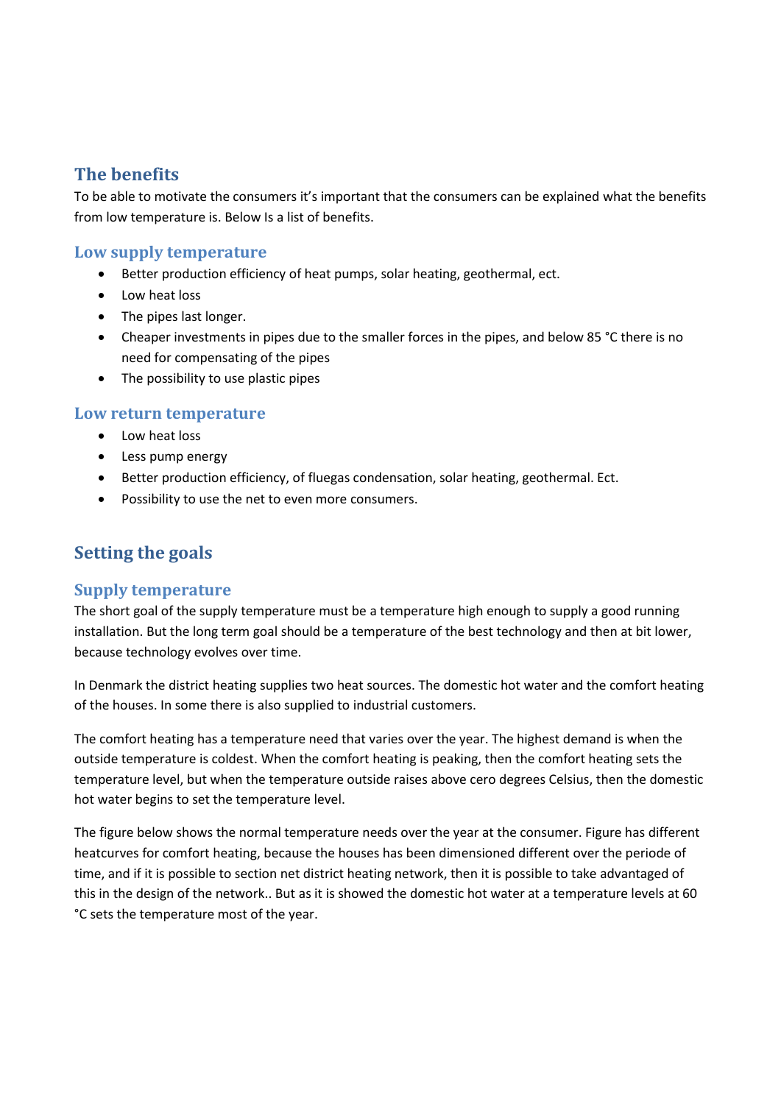# **The benefits**

To be able to motivate the consumers it's important that the consumers can be explained what the benefits from low temperature is. Below Is a list of benefits.

#### **Low supply temperature**

- Better production efficiency of heat pumps, solar heating, geothermal, ect.
- Low heat loss
- The pipes last longer.
- Cheaper investments in pipes due to the smaller forces in the pipes, and below 85 °C there is no need for compensating of the pipes
- The possibility to use plastic pipes

#### **Low return temperature**

- Low heat loss
- Less pump energy
- Better production efficiency, of fluegas condensation, solar heating, geothermal. Ect.
- Possibility to use the net to even more consumers.

# **Setting the goals**

#### **Supply temperature**

The short goal of the supply temperature must be a temperature high enough to supply a good running installation. But the long term goal should be a temperature of the best technology and then at bit lower, because technology evolves over time.

In Denmark the district heating supplies two heat sources. The domestic hot water and the comfort heating of the houses. In some there is also supplied to industrial customers.

The comfort heating has a temperature need that varies over the year. The highest demand is when the outside temperature is coldest. When the comfort heating is peaking, then the comfort heating sets the temperature level, but when the temperature outside raises above cero degrees Celsius, then the domestic hot water begins to set the temperature level.

The figure below shows the normal temperature needs over the year at the consumer. Figure has different heatcurves for comfort heating, because the houses has been dimensioned different over the periode of time, and if it is possible to section net district heating network, then it is possible to take advantaged of this in the design of the network.. But as it is showed the domestic hot water at a temperature levels at 60 °C sets the temperature most of the year.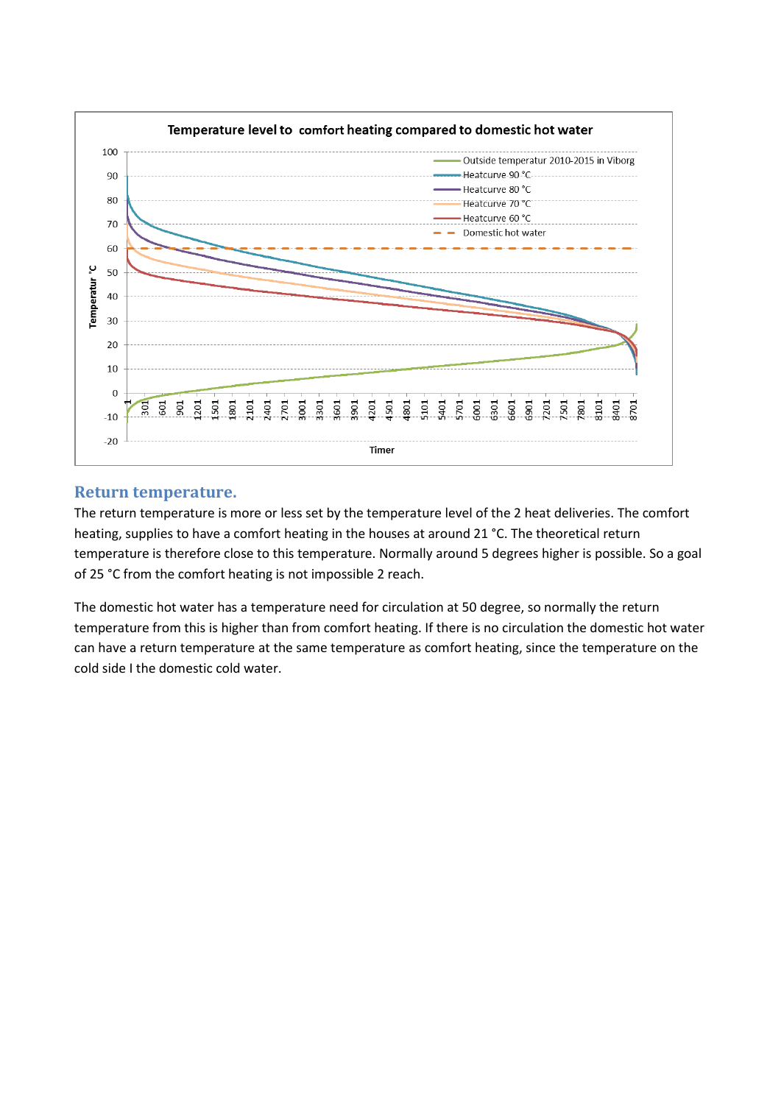

#### **Return temperature.**

The return temperature is more or less set by the temperature level of the 2 heat deliveries. The comfort heating, supplies to have a comfort heating in the houses at around 21 °C. The theoretical return temperature is therefore close to this temperature. Normally around 5 degrees higher is possible. So a goal of 25 °C from the comfort heating is not impossible 2 reach.

The domestic hot water has a temperature need for circulation at 50 degree, so normally the return temperature from this is higher than from comfort heating. If there is no circulation the domestic hot water can have a return temperature at the same temperature as comfort heating, since the temperature on the cold side I the domestic cold water.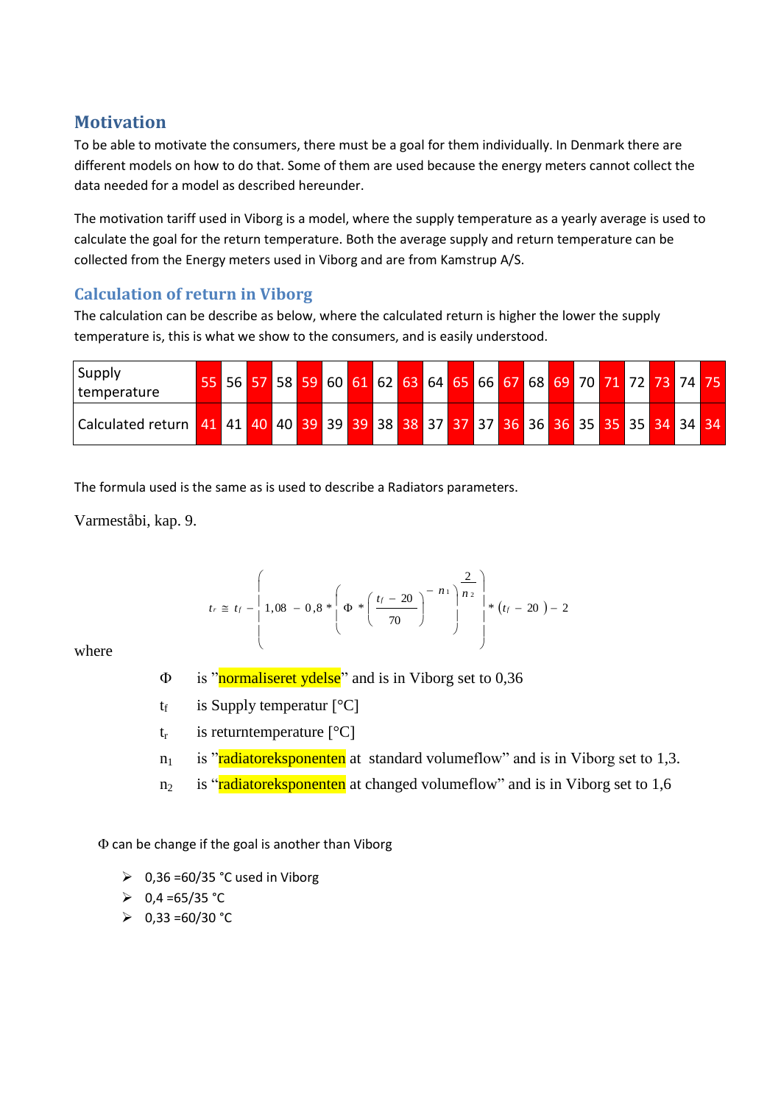# **Motivation**

To be able to motivate the consumers, there must be a goal for them individually. In Denmark there are different models on how to do that. Some of them are used because the energy meters cannot collect the data needed for a model as described hereunder.

The motivation tariff used in Viborg is a model, where the supply temperature as a yearly average is used to calculate the goal for the return temperature. Both the average supply and return temperature can be collected from the Energy meters used in Viborg and are from Kamstrup A/S.

# **Calculation of return in Viborg**

The calculation can be describe as below, where the calculated return is higher the lower the supply temperature is, this is what we show to the consumers, and is easily understood.

| Supply<br>I temperature                                                                                     |  |  |  |  | 55 56 57 58 59 60 61 62 63 64 65 66 67 68 69 70 71 72 73 74 75 |  |  |  |  |  |  |
|-------------------------------------------------------------------------------------------------------------|--|--|--|--|----------------------------------------------------------------|--|--|--|--|--|--|
| Calculated return   41   41   40   40   39   39   38   38   37   37   37   36   36   36   35   35   34   34 |  |  |  |  |                                                                |  |  |  |  |  |  |

The formula used is the same as is used to describe a Radiators parameters.

Varmeståbi, kap. 9.

$$
t_r \cong t_f - \left(1,08 - 0,8 * \left(\Phi * \left(\frac{t_f - 20}{70}\right)^{-1/2}\right)^{-1/2}\right) * (t_f - 20) - 2
$$

where

- $\Phi$  is "normaliseret ydelse" and is in Viborg set to 0,36
- $t_f$  is Supply temperatur  $[^{\circ}C]$
- $t_r$  is returntemperature  $[^{\circ}C]$
- $n_1$  is "radiatoreksponenten at standard volumeflow" and is in Viborg set to 1,3.
- $n_2$  is "radiatoreksponenten at changed volumeflow" and is in Viborg set to 1,6

 $\Phi$  can be change if the goal is another than Viborg

- $\geq 0,36 = 60/35$  °C used in Viborg
- $\geq 0.4 = 65/35$  °C
- $\geqslant$  0,33 =60/30 °C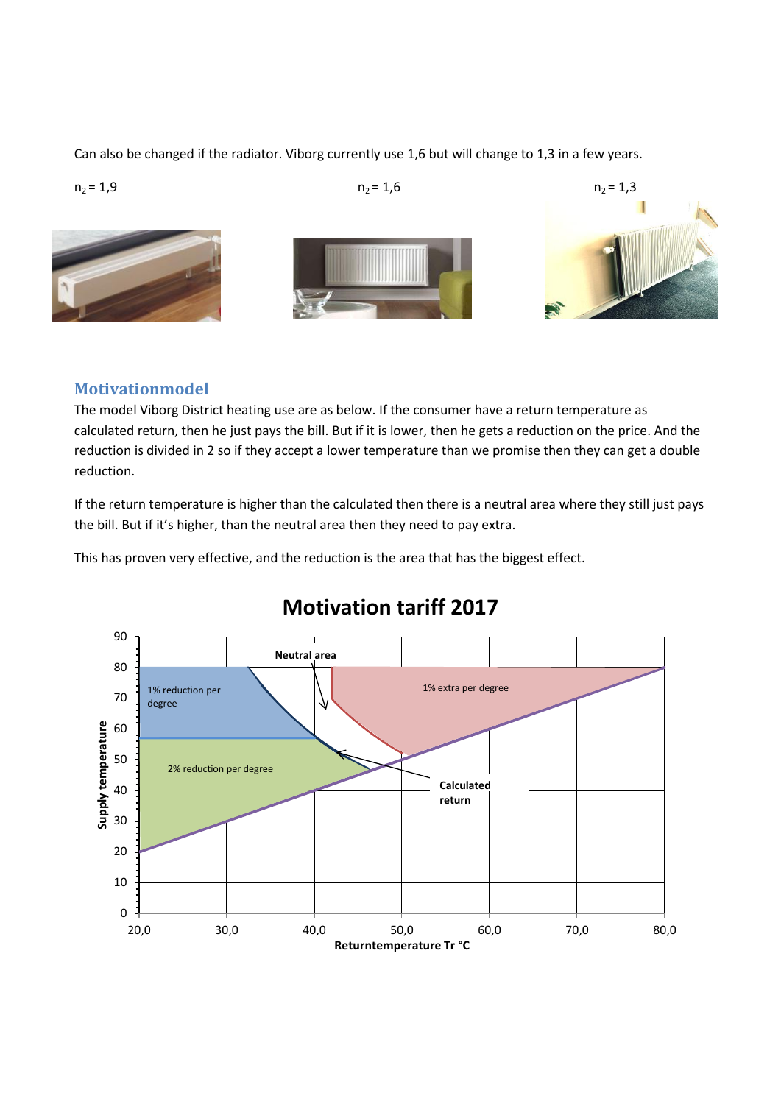Can also be changed if the radiator. Viborg currently use 1,6 but will change to 1,3 in a few years.



# **Motivationmodel**

The model Viborg District heating use are as below. If the consumer have a return temperature as calculated return, then he just pays the bill. But if it is lower, then he gets a reduction on the price. And the reduction is divided in 2 so if they accept a lower temperature than we promise then they can get a double reduction.

If the return temperature is higher than the calculated then there is a neutral area where they still just pays the bill. But if it's higher, than the neutral area then they need to pay extra.

This has proven very effective, and the reduction is the area that has the biggest effect.



# **Motivation tariff 2017**